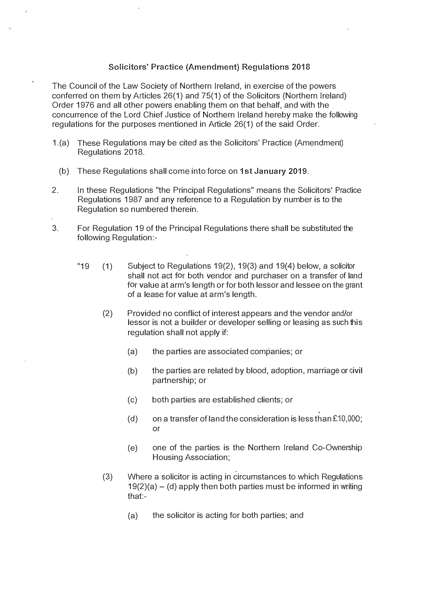## **Solicitors' Practice (Amendment) Regulations 2018**

The Council of the Law Society of Northern Ireland, in exercise of the powers conferred on them by Articles 26(1) and 75(1) of the Solicitors (Northern Ireland) Order 1976 and all other powers enabling them on that behalf, and with the concurrence of the Lord Chief Justice of Northern Ireland hereby make the following regulations for the purposes mentioned in Article 26(1) of the said Order.

- 1.(a) These Regulations may be cited as the Solicitors' Practice (Amendment) Regulations 2018.
	- (b) These Regulations shall come into force on 1st January 2019.
- 2. In these Regulations "the Principal Regulations" means the Solicitors' Practice Regulations 1987 and any reference to a Regulation by number is to the Regulation so numbered therein.
- 3. For Regulation 19 of the Principal Regulations there shall be substituted the following Regulation:-
	- "19  $(1)$  Subject to Regulations 19(2), 19(3) and 19(4) below, a solicitor shall not act for both vendor and purchaser on a transfer of land for value at arm's length or for both lessor and lessee on the grant of a lease for value at arm's length.
		- (2) Provided no conflict of interest appears and the vendor and/or lessor is not a builder or developer selling or leasing as such this regulation shall not apply if:
			- (a) the parties are associated companies; or
			- (b) the parties are related by blood, adoption, marriage or civil partnership; or
			- (c) both parties are established clients; or
			- (d) on a transfer of land the consideration is less than  $£10,000;$ or
			- (e) one of the parties is the Northern Ireland Co-Ownership Housing Association;
		- (3) Where a solicitor is acting in circumstances to which Regulations  $19(2)(a) - (d)$  apply then both parties must be informed in writing that:-
			- (a) the solicitor is acting for both parties; and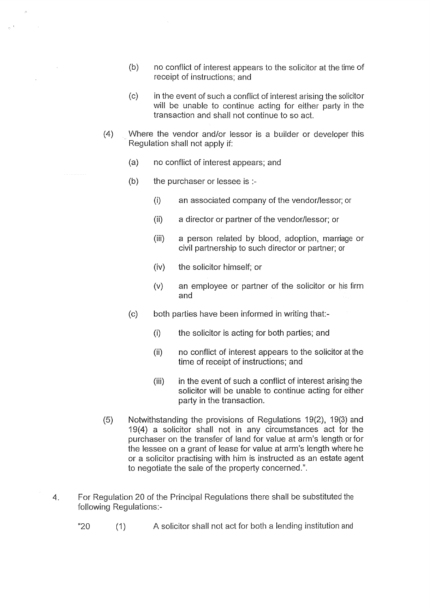- $(b)$ no conflict of interest appears to the solicitor at the time of receipt of instructions: and
- $(c)$ in the event of such a conflict of interest arising the solicitor will be unable to continue acting for either party in the transaction and shall not continue to so act.
- $(4)$ Where the vendor and/or lessor is a builder or developer this Regulation shall not apply if:
	- $(a)$ no conflict of interest appears; and
	- $(b)$ the purchaser or lessee is :-

 $\bar{z}$ 

- $(i)$ an associated company of the vendor/lessor; or
- $(ii)$ a director or partner of the vendor/lessor; or
- $(iii)$ a person related by blood, adoption, marriage or civil partnership to such director or partner; or
- the solicitor himself; or  $(iv)$
- an employee or partner of the solicitor or his firm  $(v)$ and
- $(c)$ both parties have been informed in writing that:-
	- $(i)$ the solicitor is acting for both parties; and
	- $(ii)$ no conflict of interest appears to the solicitor at the time of receipt of instructions; and
	- $(iii)$ in the event of such a conflict of interest arising the solicitor will be unable to continue acting for either party in the transaction.
- $(5)$ Notwithstanding the provisions of Regulations 19(2), 19(3) and 19(4) a solicitor shall not in any circumstances act for the purchaser on the transfer of land for value at arm's length or for the lessee on a grant of lease for value at arm's length where he or a solicitor practising with him is instructed as an estate agent to negotiate the sale of the property concerned.".
- For Regulation 20 of the Principal Regulations there shall be substituted the  $4.$ following Regulations:-
	- "20 A solicitor shall not act for both a lending institution and  $(1)$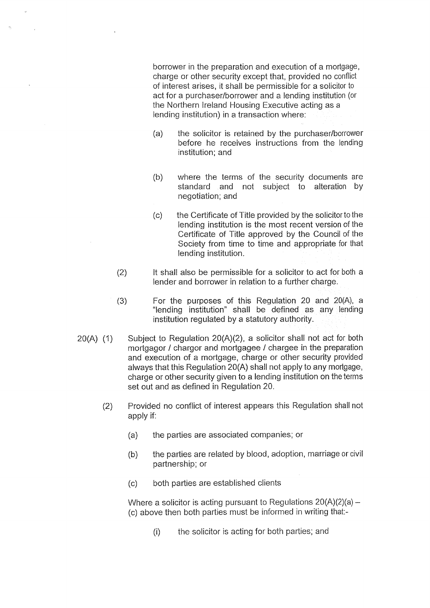borrower in the preparation and execution of a mortgage, charge or other security except that, provided no conflict of interest arises, it shall be permissible for a solicitor to act for a purchaser/borrower and a lending institution (or the Northern Ireland Housing Executive acting as a lending institution) in a transaction where:

- the solicitor is retained by the purchaser/borrower  $(a)$ before he receives instructions from the lending institution: and
- $(b)$ where the terms of the security documents are standard and not subiect to alteration by negotiation; and
- the Certificate of Title provided by the solicitor to the  $(c)$ lending institution is the most recent version of the Certificate of Title approved by the Council of the Society from time to time and appropriate for that lending institution.
- It shall also be permissible for a solicitor to act for both a  $(2)$ lender and borrower in relation to a further charge.
- $(3)$ For the purposes of this Regulation 20 and 20(A), a "lending institution" shall be defined as any lending institution regulated by a statutory authority.
- $20(A)$  (1) Subject to Regulation 20(A)(2), a solicitor shall not act for both mortgagor / chargor and mortgagee / chargee in the preparation and execution of a mortgage, charge or other security provided always that this Regulation 20(A) shall not apply to any mortgage, charge or other security given to a lending institution on the terms set out and as defined in Regulation 20.
	- $(2)$ Provided no conflict of interest appears this Regulation shall not apply if:
		- the parties are associated companies; or  $(a)$
		- the parties are related by blood, adoption, marriage or civil  $(b)$ partnership; or
		- both parties are established clients  $(c)$

Where a solicitor is acting pursuant to Regulations  $20(A)(2)(a)$  – (c) above then both parties must be informed in writing that:-

> the solicitor is acting for both parties; and  $(i)$